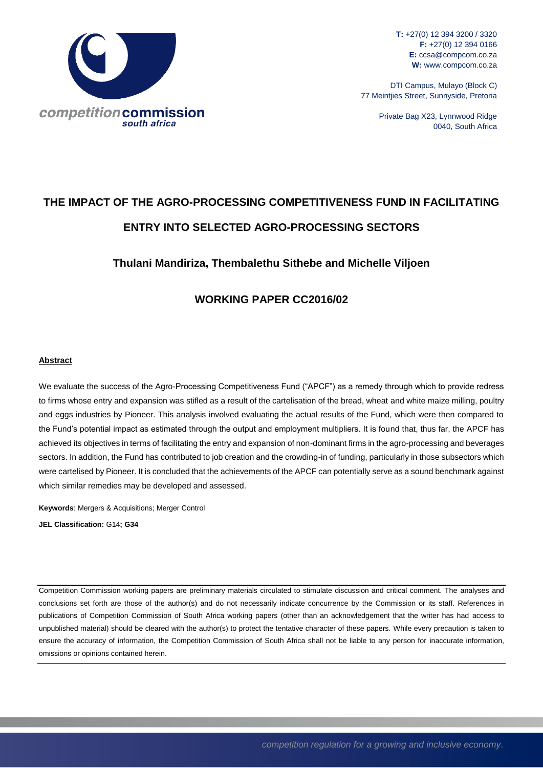

**T:** +27(0) 12 394 3200 / 3320 **F:** +27(0) 12 394 0166 **E:** ccsa@compcom.co.za **W:** www.compcom.co.za

DTI Campus, Mulayo (Block C) 77 Meintjies Street, Sunnyside, Pretoria

> Private Bag X23, Lynnwood Ridge 0040, South Africa

# **THE IMPACT OF THE AGRO-PROCESSING COMPETITIVENESS FUND IN FACILITATING ENTRY INTO SELECTED AGRO-PROCESSING SECTORS**

# **Thulani Mandiriza, Thembalethu Sithebe and Michelle Viljoen**

# **WORKING PAPER CC2016/02**

#### **Abstract**

We evaluate the success of the Agro-Processing Competitiveness Fund ("APCF") as a remedy through which to provide redress to firms whose entry and expansion was stifled as a result of the cartelisation of the bread, wheat and white maize milling, poultry and eggs industries by Pioneer. This analysis involved evaluating the actual results of the Fund, which were then compared to the Fund's potential impact as estimated through the output and employment multipliers. It is found that, thus far, the APCF has achieved its objectives in terms of facilitating the entry and expansion of non-dominant firms in the agro-processing and beverages sectors. In addition, the Fund has contributed to job creation and the crowding-in of funding, particularly in those subsectors which were cartelised by Pioneer. It is concluded that the achievements of the APCF can potentially serve as a sound benchmark against which similar remedies may be developed and assessed.

**Keywords**: Mergers & Acquisitions; Merger Control **JEL Classification:** G14**; G34**

Competition Commission working papers are preliminary materials circulated to stimulate discussion and critical comment. The analyses and conclusions set forth are those of the author(s) and do not necessarily indicate concurrence by the Commission or its staff. References in publications of Competition Commission of South Africa working papers (other than an acknowledgement that the writer has had access to unpublished material) should be cleared with the author(s) to protect the tentative character of these papers. While every precaution is taken to ensure the accuracy of information, the Competition Commission of South Africa shall not be liable to any person for inaccurate information, omissions or opinions contained herein.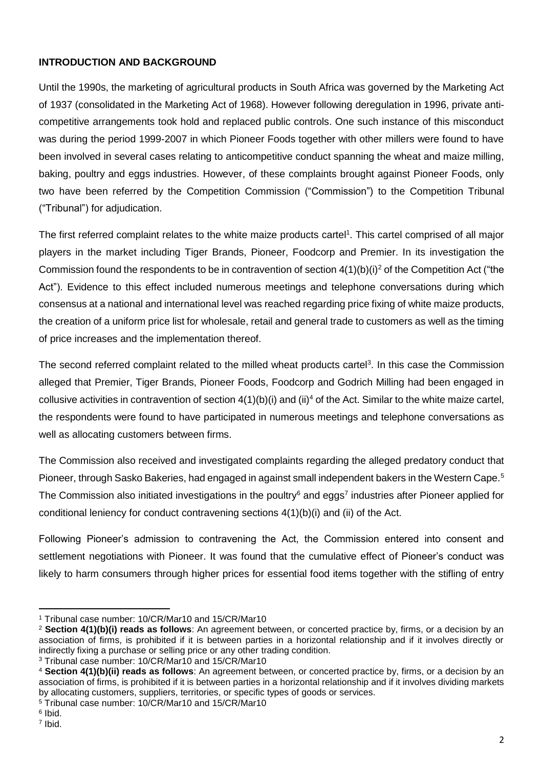# **INTRODUCTION AND BACKGROUND**

Until the 1990s, the marketing of agricultural products in South Africa was governed by the Marketing Act of 1937 (consolidated in the Marketing Act of 1968). However following deregulation in 1996, private anticompetitive arrangements took hold and replaced public controls. One such instance of this misconduct was during the period 1999-2007 in which Pioneer Foods together with other millers were found to have been involved in several cases relating to anticompetitive conduct spanning the wheat and maize milling, baking, poultry and eggs industries. However, of these complaints brought against Pioneer Foods, only two have been referred by the Competition Commission ("Commission") to the Competition Tribunal ("Tribunal") for adjudication.

The first referred complaint relates to the white maize products cartel<sup>1</sup>. This cartel comprised of all major players in the market including Tiger Brands, Pioneer, Foodcorp and Premier. In its investigation the Commission found the respondents to be in contravention of section  $4(1)(b)(i)^2$  of the Competition Act ("the Act"). Evidence to this effect included numerous meetings and telephone conversations during which consensus at a national and international level was reached regarding price fixing of white maize products, the creation of a uniform price list for wholesale, retail and general trade to customers as well as the timing of price increases and the implementation thereof.

The second referred complaint related to the milled wheat products cartel<sup>3</sup>. In this case the Commission alleged that Premier, Tiger Brands, Pioneer Foods, Foodcorp and Godrich Milling had been engaged in collusive activities in contravention of section  $4(1)(b)(i)$  and  $(ii)^4$  of the Act. Similar to the white maize cartel, the respondents were found to have participated in numerous meetings and telephone conversations as well as allocating customers between firms.

The Commission also received and investigated complaints regarding the alleged predatory conduct that Pioneer, through Sasko Bakeries, had engaged in against small independent bakers in the Western Cape.<sup>5</sup> The Commission also initiated investigations in the poultry<sup>6</sup> and eggs<sup>7</sup> industries after Pioneer applied for conditional leniency for conduct contravening sections 4(1)(b)(i) and (ii) of the Act.

Following Pioneer's admission to contravening the Act, the Commission entered into consent and settlement negotiations with Pioneer. It was found that the cumulative effect of Pioneer's conduct was likely to harm consumers through higher prices for essential food items together with the stifling of entry

 $\ddot{\phantom{a}}$ 

<sup>1</sup> Tribunal case number: 10/CR/Mar10 and 15/CR/Mar10

<sup>2</sup> **Section 4(1)(b)(i) reads as follows**: An agreement between, or concerted practice by, firms, or a decision by an association of firms, is prohibited if it is between parties in a horizontal relationship and if it involves directly or indirectly fixing a purchase or selling price or any other trading condition.

<sup>3</sup> Tribunal case number: 10/CR/Mar10 and 15/CR/Mar10

<sup>4</sup> **Section 4(1)(b)(ii) reads as follows**: An agreement between, or concerted practice by, firms, or a decision by an association of firms, is prohibited if it is between parties in a horizontal relationship and if it involves dividing markets by allocating customers, suppliers, territories, or specific types of goods or services.

<sup>5</sup> Tribunal case number: 10/CR/Mar10 and 15/CR/Mar10

<sup>6</sup> Ibid.

<sup>7</sup> Ibid.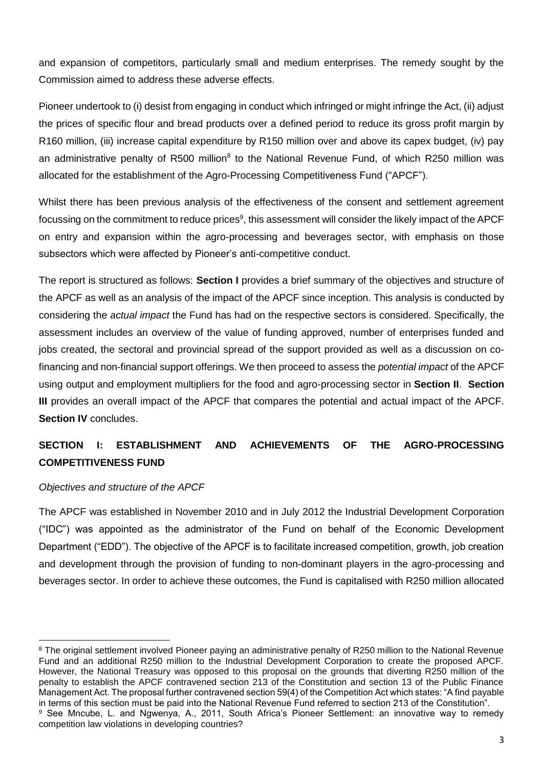and expansion of competitors, particularly small and medium enterprises. The remedy sought by the Commission aimed to address these adverse effects.

Pioneer undertook to (i) desist from engaging in conduct which infringed or might infringe the Act, (ii) adjust the prices of specific flour and bread products over a defined period to reduce its gross profit margin by R160 million, (iii) increase capital expenditure by R150 million over and above its capex budget, (iv) pay an administrative penalty of R500 million<sup>8</sup> to the National Revenue Fund, of which R250 million was allocated for the establishment of the Agro-Processing Competitiveness Fund ("APCF").

Whilst there has been previous analysis of the effectiveness of the consent and settlement agreement focussing on the commitment to reduce prices<sup>9</sup>, this assessment will consider the likely impact of the APCF on entry and expansion within the agro-processing and beverages sector, with emphasis on those subsectors which were affected by Pioneer's anti-competitive conduct.

The report is structured as follows: **Section I** provides a brief summary of the objectives and structure of the APCF as well as an analysis of the impact of the APCF since inception. This analysis is conducted by considering the *actual impact* the Fund has had on the respective sectors is considered. Specifically, the assessment includes an overview of the value of funding approved, number of enterprises funded and jobs created, the sectoral and provincial spread of the support provided as well as a discussion on cofinancing and non-financial support offerings. We then proceed to assess the *potential impact* of the APCF using output and employment multipliers for the food and agro-processing sector in **Section II**. **Section III** provides an overall impact of the APCF that compares the potential and actual impact of the APCF. **Section IV** concludes.

# **SECTION I: ESTABLISHMENT AND ACHIEVEMENTS OF THE AGRO-PROCESSING COMPETITIVENESS FUND**

# *Objectives and structure of the APCF*

The APCF was established in November 2010 and in July 2012 the Industrial Development Corporation ("IDC") was appointed as the administrator of the Fund on behalf of the Economic Development Department ("EDD"). The objective of the APCF is to facilitate increased competition, growth, job creation and development through the provision of funding to non-dominant players in the agro-processing and beverages sector. In order to achieve these outcomes, the Fund is capitalised with R250 million allocated

 $\overline{a}$ <sup>8</sup> The original settlement involved Pioneer paying an administrative penalty of R250 million to the National Revenue Fund and an additional R250 million to the Industrial Development Corporation to create the proposed APCF. However, the National Treasury was opposed to this proposal on the grounds that diverting R250 million of the penalty to establish the APCF contravened section 213 of the Constitution and section 13 of the Public Finance Management Act. The proposal further contravened section 59(4) of the Competition Act which states: "A find payable in terms of this section must be paid into the National Revenue Fund referred to section 213 of the Constitution". <sup>9</sup> See Mncube, L. and Ngwenya, A., 2011, South Africa's Pioneer Settlement: an innovative way to remedy competition law violations in developing countries?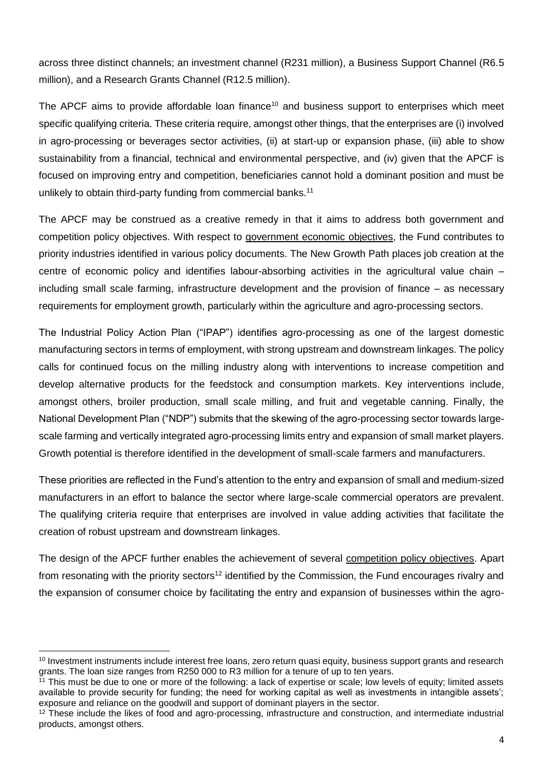across three distinct channels; an investment channel (R231 million), a Business Support Channel (R6.5 million), and a Research Grants Channel (R12.5 million).

The APCF aims to provide affordable loan finance<sup>10</sup> and business support to enterprises which meet specific qualifying criteria. These criteria require, amongst other things, that the enterprises are (i) involved in agro-processing or beverages sector activities, (ii) at start-up or expansion phase, (iii) able to show sustainability from a financial, technical and environmental perspective, and (iv) given that the APCF is focused on improving entry and competition, beneficiaries cannot hold a dominant position and must be unlikely to obtain third-party funding from commercial banks.<sup>11</sup>

The APCF may be construed as a creative remedy in that it aims to address both government and competition policy objectives. With respect to government economic objectives, the Fund contributes to priority industries identified in various policy documents. The New Growth Path places job creation at the centre of economic policy and identifies labour-absorbing activities in the agricultural value chain – including small scale farming, infrastructure development and the provision of finance – as necessary requirements for employment growth, particularly within the agriculture and agro-processing sectors.

The Industrial Policy Action Plan ("IPAP") identifies agro-processing as one of the largest domestic manufacturing sectors in terms of employment, with strong upstream and downstream linkages. The policy calls for continued focus on the milling industry along with interventions to increase competition and develop alternative products for the feedstock and consumption markets. Key interventions include, amongst others, broiler production, small scale milling, and fruit and vegetable canning. Finally, the National Development Plan ("NDP") submits that the skewing of the agro-processing sector towards largescale farming and vertically integrated agro-processing limits entry and expansion of small market players. Growth potential is therefore identified in the development of small-scale farmers and manufacturers.

These priorities are reflected in the Fund's attention to the entry and expansion of small and medium-sized manufacturers in an effort to balance the sector where large-scale commercial operators are prevalent. The qualifying criteria require that enterprises are involved in value adding activities that facilitate the creation of robust upstream and downstream linkages.

The design of the APCF further enables the achievement of several competition policy objectives. Apart from resonating with the priority sectors<sup>12</sup> identified by the Commission, the Fund encourages rivalry and the expansion of consumer choice by facilitating the entry and expansion of businesses within the agro-

 $\ddot{\phantom{a}}$ <sup>10</sup> Investment instruments include interest free loans, zero return quasi equity, business support grants and research grants. The loan size ranges from R250 000 to R3 million for a tenure of up to ten years.

 $11$  This must be due to one or more of the following: a lack of expertise or scale; low levels of equity; limited assets available to provide security for funding; the need for working capital as well as investments in intangible assets'; exposure and reliance on the goodwill and support of dominant players in the sector.

<sup>&</sup>lt;sup>12</sup> These include the likes of food and agro-processing, infrastructure and construction, and intermediate industrial products, amongst others.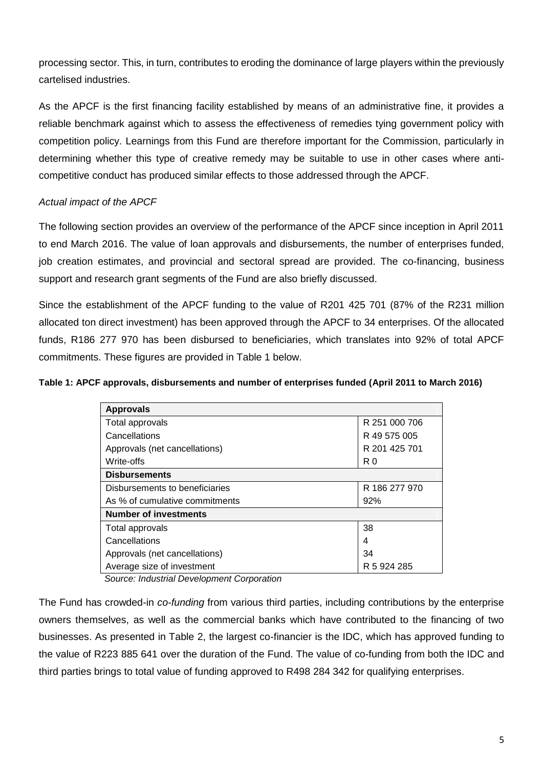processing sector. This, in turn, contributes to eroding the dominance of large players within the previously cartelised industries.

As the APCF is the first financing facility established by means of an administrative fine, it provides a reliable benchmark against which to assess the effectiveness of remedies tying government policy with competition policy. Learnings from this Fund are therefore important for the Commission, particularly in determining whether this type of creative remedy may be suitable to use in other cases where anticompetitive conduct has produced similar effects to those addressed through the APCF.

# *Actual impact of the APCF*

The following section provides an overview of the performance of the APCF since inception in April 2011 to end March 2016. The value of loan approvals and disbursements, the number of enterprises funded, job creation estimates, and provincial and sectoral spread are provided. The co-financing, business support and research grant segments of the Fund are also briefly discussed.

Since the establishment of the APCF funding to the value of R201 425 701 (87% of the R231 million allocated ton direct investment) has been approved through the APCF to 34 enterprises. Of the allocated funds, R186 277 970 has been disbursed to beneficiaries, which translates into 92% of total APCF commitments. These figures are provided in Table 1 below.

## **Table 1: APCF approvals, disbursements and number of enterprises funded (April 2011 to March 2016)**

| <b>Approvals</b>               |               |
|--------------------------------|---------------|
| Total approvals                | R 251 000 706 |
| Cancellations                  | R 49 575 005  |
| Approvals (net cancellations)  | R 201 425 701 |
| Write-offs                     | R0            |
| <b>Disbursements</b>           |               |
| Disbursements to beneficiaries | R 186 277 970 |
| As % of cumulative commitments | 92%           |
| <b>Number of investments</b>   |               |
| Total approvals                | 38            |
| Cancellations                  | 4             |
| Approvals (net cancellations)  | 34            |
| Average size of investment     | R 5 924 285   |

*Source: Industrial Development Corporation*

The Fund has crowded-in *co-funding* from various third parties, including contributions by the enterprise owners themselves, as well as the commercial banks which have contributed to the financing of two businesses. As presented in Table 2, the largest co-financier is the IDC, which has approved funding to the value of R223 885 641 over the duration of the Fund. The value of co-funding from both the IDC and third parties brings to total value of funding approved to R498 284 342 for qualifying enterprises.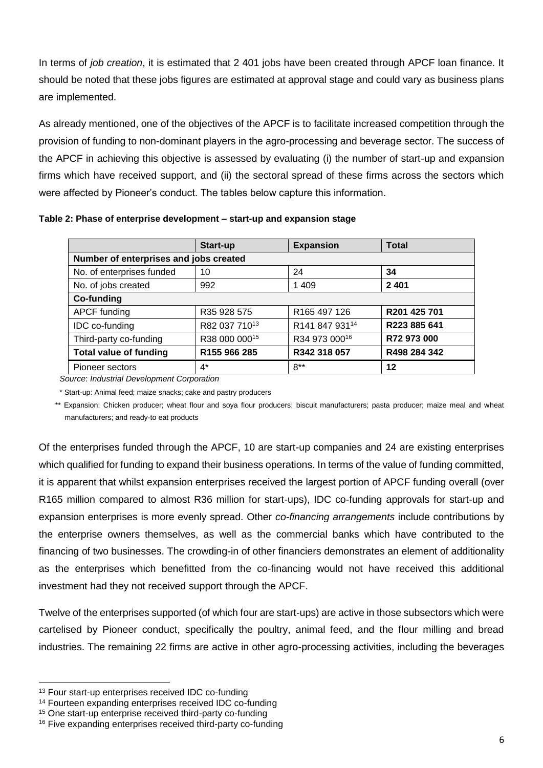In terms of *job creation*, it is estimated that 2 401 jobs have been created through APCF loan finance. It should be noted that these jobs figures are estimated at approval stage and could vary as business plans are implemented.

As already mentioned, one of the objectives of the APCF is to facilitate increased competition through the provision of funding to non-dominant players in the agro-processing and beverage sector. The success of the APCF in achieving this objective is assessed by evaluating (i) the number of start-up and expansion firms which have received support, and (ii) the sectoral spread of these firms across the sectors which were affected by Pioneer's conduct. The tables below capture this information.

|                                        | Start-up      | <b>Expansion</b>         | <b>Total</b> |  |  |  |
|----------------------------------------|---------------|--------------------------|--------------|--|--|--|
| Number of enterprises and jobs created |               |                          |              |  |  |  |
| No. of enterprises funded              | 10            | 24                       | 34           |  |  |  |
| No. of jobs created                    | 992           | 1409                     | 2 4 0 1      |  |  |  |
| Co-funding                             |               |                          |              |  |  |  |
| APCF funding                           | R35 928 575   | R <sub>165</sub> 497 126 | R201 425 701 |  |  |  |
| <b>IDC</b> co-funding                  | R82 037 71013 | R141 847 93114           | R223 885 641 |  |  |  |
| Third-party co-funding                 | R38 000 00015 | R34 973 00016            | R72 973 000  |  |  |  |
| <b>Total value of funding</b>          | R155 966 285  | R342 318 057             | R498 284 342 |  |  |  |
| Pioneer sectors                        | 4*            | $8**$                    | 12           |  |  |  |

**Table 2: Phase of enterprise development – start-up and expansion stage**

*Source*: *Industrial Development Corporation*

\* Start-up: Animal feed; maize snacks; cake and pastry producers

 \*\* Expansion: Chicken producer; wheat flour and soya flour producers; biscuit manufacturers; pasta producer; maize meal and wheat manufacturers; and ready-to eat products

Of the enterprises funded through the APCF, 10 are start-up companies and 24 are existing enterprises which qualified for funding to expand their business operations. In terms of the value of funding committed, it is apparent that whilst expansion enterprises received the largest portion of APCF funding overall (over R165 million compared to almost R36 million for start-ups), IDC co-funding approvals for start-up and expansion enterprises is more evenly spread. Other *co-financing arrangements* include contributions by the enterprise owners themselves, as well as the commercial banks which have contributed to the financing of two businesses. The crowding-in of other financiers demonstrates an element of additionality as the enterprises which benefitted from the co-financing would not have received this additional investment had they not received support through the APCF.

Twelve of the enterprises supported (of which four are start-ups) are active in those subsectors which were cartelised by Pioneer conduct, specifically the poultry, animal feed, and the flour milling and bread industries. The remaining 22 firms are active in other agro-processing activities, including the beverages

 $\ddot{\phantom{a}}$ 

<sup>13</sup> Four start-up enterprises received IDC co-funding

<sup>14</sup> Fourteen expanding enterprises received IDC co-funding

<sup>15</sup> One start-up enterprise received third-party co-funding

<sup>&</sup>lt;sup>16</sup> Five expanding enterprises received third-party co-funding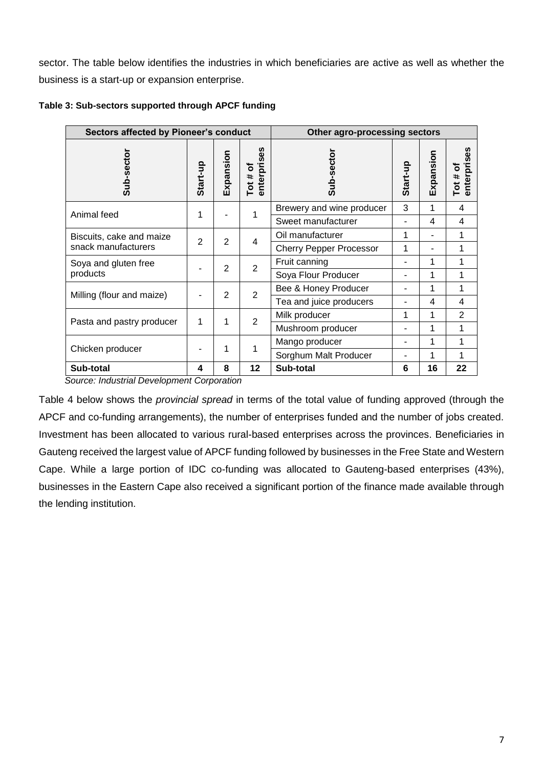sector. The table below identifies the industries in which beneficiaries are active as well as whether the business is a start-up or expansion enterprise.

| <b>Sectors affected by Pioneer's conduct</b> |                |                |                                         | Other agro-processing sectors  |          |           |                   |
|----------------------------------------------|----------------|----------------|-----------------------------------------|--------------------------------|----------|-----------|-------------------|
| Sub-sector                                   | Start-up       | Expansion      | enterprises<br>Sub-sector<br>Tot $#$ of |                                | Start-up | Expansion | enterpris<br>Tot# |
| Animal feed                                  | 1              |                |                                         | Brewery and wine producer      | 3        | 1         | 4                 |
|                                              |                |                |                                         | Sweet manufacturer             |          | 4         | 4                 |
| Biscuits, cake and maize                     | $\overline{2}$ |                | 2                                       | Oil manufacturer               | 1        |           |                   |
| snack manufacturers                          |                |                | 4                                       | <b>Cherry Pepper Processor</b> | 1        |           |                   |
| Soya and gluten free                         |                |                |                                         | Fruit canning                  |          | 1         |                   |
| products                                     |                | $\overline{2}$ | 2                                       | Soya Flour Producer            |          | 1         |                   |
| Milling (flour and maize)                    |                | $\overline{2}$ | 2                                       | Bee & Honey Producer           |          | 1         | 1                 |
|                                              |                |                | Tea and juice producers                 |                                | 4        | 4         |                   |
|                                              | 1              |                | 2<br>1                                  | Milk producer                  | 1        | 1         | $\overline{2}$    |
| Pasta and pastry producer                    |                |                |                                         | Mushroom producer              |          | 1         |                   |
|                                              |                |                | 1                                       | Mango producer                 |          | 1         |                   |
| Chicken producer                             |                |                |                                         | Sorghum Malt Producer          |          | 1         |                   |
| Sub-total                                    | 4              | 8              | 12                                      | Sub-total                      | 6        | 16        | 22                |

**Table 3: Sub-sectors supported through APCF funding**

*Source: Industrial Development Corporation*

Table 4 below shows the *provincial spread* in terms of the total value of funding approved (through the APCF and co-funding arrangements), the number of enterprises funded and the number of jobs created. Investment has been allocated to various rural-based enterprises across the provinces. Beneficiaries in Gauteng received the largest value of APCF funding followed by businesses in the Free State and Western Cape. While a large portion of IDC co-funding was allocated to Gauteng-based enterprises (43%), businesses in the Eastern Cape also received a significant portion of the finance made available through the lending institution.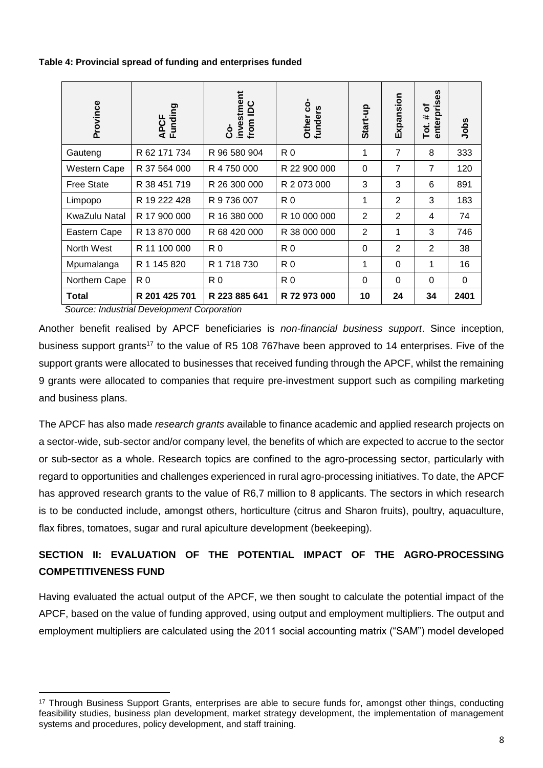**Table 4: Provincial spread of funding and enterprises funded**

| Province            | APCF<br>Funding         | investment<br>from IDC<br>င္ပံ | ġ<br>Other cc<br>funders | Start-up       | Expansion      | 89<br>enterpris<br>৳<br>#<br>Tot. | Jobs     |
|---------------------|-------------------------|--------------------------------|--------------------------|----------------|----------------|-----------------------------------|----------|
| Gauteng             | R 62 171 734            | R 96 580 904                   | R0                       | 1              | $\overline{7}$ | 8                                 | 333      |
| <b>Western Cape</b> | R 37 564 000            | R 4 750 000                    | R 22 900 000             | $\Omega$       | 7              | $\overline{7}$                    | 120      |
| <b>Free State</b>   | R 38 451 719            | R 26 300 000                   | R 2 073 000              | 3              | 3              | 6                                 | 891      |
| Limpopo             | R 19 222 428            | R 9 736 007                    | R0                       | 1              | $\overline{2}$ | 3                                 | 183      |
| KwaZulu Natal       | R 17 900 000            | R 16 380 000                   | R 10 000 000             | $\overline{2}$ | $\overline{2}$ | 4                                 | 74       |
| Eastern Cape        | R 13 870 000            | R 68 420 000                   | R 38 000 000             | $\overline{2}$ | 1              | 3                                 | 746      |
| North West          | R 11 100 000            | R0                             | R 0                      | $\Omega$       | $\overline{2}$ | $\overline{2}$                    | 38       |
| Mpumalanga          | R 1 145 820             | R 1 718 730                    | R0                       | 1              | $\Omega$       | 1                                 | 16       |
| Northern Cape       | R <sub>0</sub>          | R0                             | R0                       | $\Omega$       | $\Omega$       | $\Omega$                          | $\Omega$ |
| <b>Total</b><br>.   | R 201 425 701<br>$\sim$ | R 223 885 641                  | R 72 973 000             | 10             | 24             | 34                                | 2401     |

*Source: Industrial Development Corporation*

 $\overline{a}$ 

Another benefit realised by APCF beneficiaries is *non-financial business support*. Since inception, business support grants<sup>17</sup> to the value of R5 108 767have been approved to 14 enterprises. Five of the support grants were allocated to businesses that received funding through the APCF, whilst the remaining 9 grants were allocated to companies that require pre-investment support such as compiling marketing and business plans.

The APCF has also made *research grants* available to finance academic and applied research projects on a sector-wide, sub-sector and/or company level, the benefits of which are expected to accrue to the sector or sub-sector as a whole. Research topics are confined to the agro-processing sector, particularly with regard to opportunities and challenges experienced in rural agro-processing initiatives. To date, the APCF has approved research grants to the value of R6,7 million to 8 applicants. The sectors in which research is to be conducted include, amongst others, horticulture (citrus and Sharon fruits), poultry, aquaculture, flax fibres, tomatoes, sugar and rural apiculture development (beekeeping).

# **SECTION II: EVALUATION OF THE POTENTIAL IMPACT OF THE AGRO-PROCESSING COMPETITIVENESS FUND**

Having evaluated the actual output of the APCF, we then sought to calculate the potential impact of the APCF, based on the value of funding approved, using output and employment multipliers. The output and employment multipliers are calculated using the 2011 social accounting matrix ("SAM") model developed

<sup>&</sup>lt;sup>17</sup> Through Business Support Grants, enterprises are able to secure funds for, amongst other things, conducting feasibility studies, business plan development, market strategy development, the implementation of management systems and procedures, policy development, and staff training.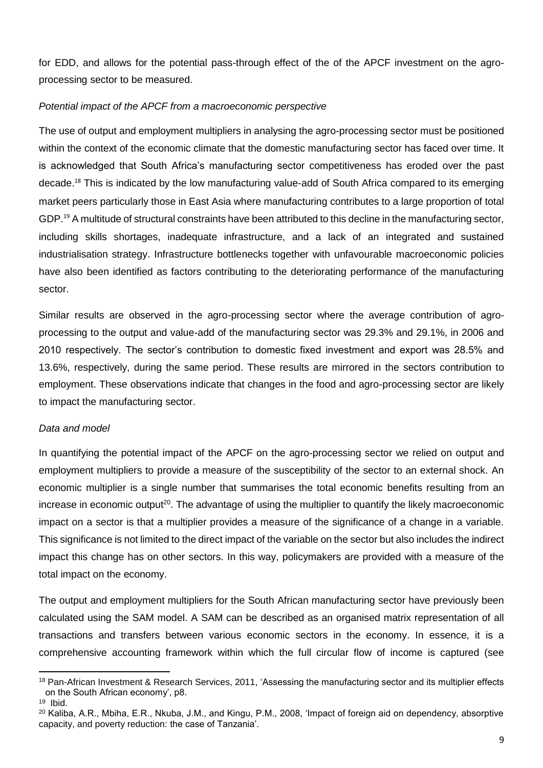for EDD, and allows for the potential pass-through effect of the of the APCF investment on the agroprocessing sector to be measured.

#### *Potential impact of the APCF from a macroeconomic perspective*

The use of output and employment multipliers in analysing the agro-processing sector must be positioned within the context of the economic climate that the domestic manufacturing sector has faced over time. It is acknowledged that South Africa's manufacturing sector competitiveness has eroded over the past decade.<sup>18</sup> This is indicated by the low manufacturing value-add of South Africa compared to its emerging market peers particularly those in East Asia where manufacturing contributes to a large proportion of total GDP.<sup>19</sup> A multitude of structural constraints have been attributed to this decline in the manufacturing sector, including skills shortages, inadequate infrastructure, and a lack of an integrated and sustained industrialisation strategy. Infrastructure bottlenecks together with unfavourable macroeconomic policies have also been identified as factors contributing to the deteriorating performance of the manufacturing sector.

Similar results are observed in the agro-processing sector where the average contribution of agroprocessing to the output and value-add of the manufacturing sector was 29.3% and 29.1%, in 2006 and 2010 respectively. The sector's contribution to domestic fixed investment and export was 28.5% and 13.6%, respectively, during the same period. These results are mirrored in the sectors contribution to employment. These observations indicate that changes in the food and agro-processing sector are likely to impact the manufacturing sector.

#### *Data and model*

 $\overline{a}$ 

In quantifying the potential impact of the APCF on the agro-processing sector we relied on output and employment multipliers to provide a measure of the susceptibility of the sector to an external shock. An economic multiplier is a single number that summarises the total economic benefits resulting from an increase in economic output<sup>20</sup>. The advantage of using the multiplier to quantify the likely macroeconomic impact on a sector is that a multiplier provides a measure of the significance of a change in a variable. This significance is not limited to the direct impact of the variable on the sector but also includes the indirect impact this change has on other sectors. In this way, policymakers are provided with a measure of the total impact on the economy.

The output and employment multipliers for the South African manufacturing sector have previously been calculated using the SAM model. A SAM can be described as an organised matrix representation of all transactions and transfers between various economic sectors in the economy. In essence, it is a comprehensive accounting framework within which the full circular flow of income is captured (see

<sup>18</sup> Pan-African Investment & Research Services, 2011, 'Assessing the manufacturing sector and its multiplier effects on the South African economy', p8. 19 Ibid.

<sup>20</sup> Kaliba, A.R., Mbiha, E.R., Nkuba, J.M., and Kingu, P.M., 2008, 'Impact of foreign aid on dependency, absorptive capacity, and poverty reduction: the case of Tanzania'.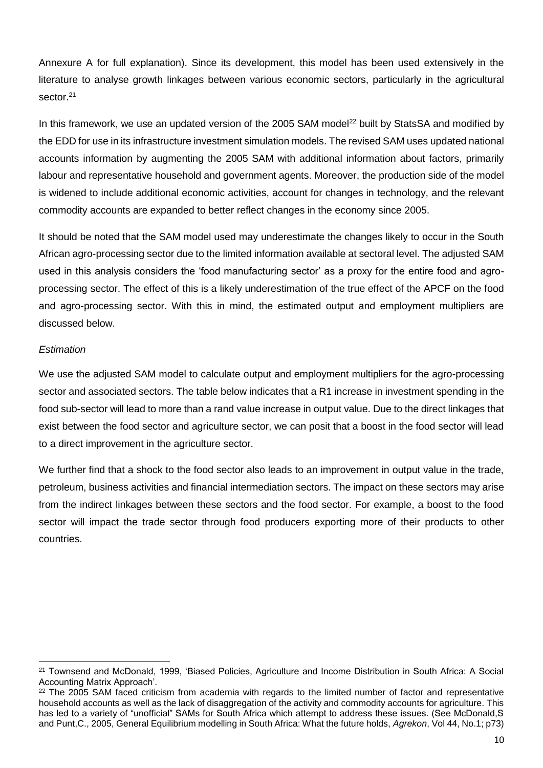Annexure A for full explanation). Since its development, this model has been used extensively in the literature to analyse growth linkages between various economic sectors, particularly in the agricultural sector.<sup>21</sup>

In this framework, we use an updated version of the 2005 SAM model<sup>22</sup> built by StatsSA and modified by the EDD for use in its infrastructure investment simulation models. The revised SAM uses updated national accounts information by augmenting the 2005 SAM with additional information about factors, primarily labour and representative household and government agents. Moreover, the production side of the model is widened to include additional economic activities, account for changes in technology, and the relevant commodity accounts are expanded to better reflect changes in the economy since 2005.

It should be noted that the SAM model used may underestimate the changes likely to occur in the South African agro-processing sector due to the limited information available at sectoral level. The adjusted SAM used in this analysis considers the 'food manufacturing sector' as a proxy for the entire food and agroprocessing sector. The effect of this is a likely underestimation of the true effect of the APCF on the food and agro-processing sector. With this in mind, the estimated output and employment multipliers are discussed below.

## *Estimation*

 $\overline{a}$ 

We use the adjusted SAM model to calculate output and employment multipliers for the agro-processing sector and associated sectors. The table below indicates that a R1 increase in investment spending in the food sub-sector will lead to more than a rand value increase in output value. Due to the direct linkages that exist between the food sector and agriculture sector, we can posit that a boost in the food sector will lead to a direct improvement in the agriculture sector.

We further find that a shock to the food sector also leads to an improvement in output value in the trade, petroleum, business activities and financial intermediation sectors. The impact on these sectors may arise from the indirect linkages between these sectors and the food sector. For example, a boost to the food sector will impact the trade sector through food producers exporting more of their products to other countries.

<sup>21</sup> Townsend and McDonald, 1999, 'Biased Policies, Agriculture and Income Distribution in South Africa: A Social Accounting Matrix Approach'.

<sup>&</sup>lt;sup>22</sup> The 2005 SAM faced criticism from academia with regards to the limited number of factor and representative household accounts as well as the lack of disaggregation of the activity and commodity accounts for agriculture. This has led to a variety of "unofficial" SAMs for South Africa which attempt to address these issues. (See McDonald, S and Punt,C., 2005, General Equilibrium modelling in South Africa: What the future holds, *Agrekon*, Vol 44, No.1; p73)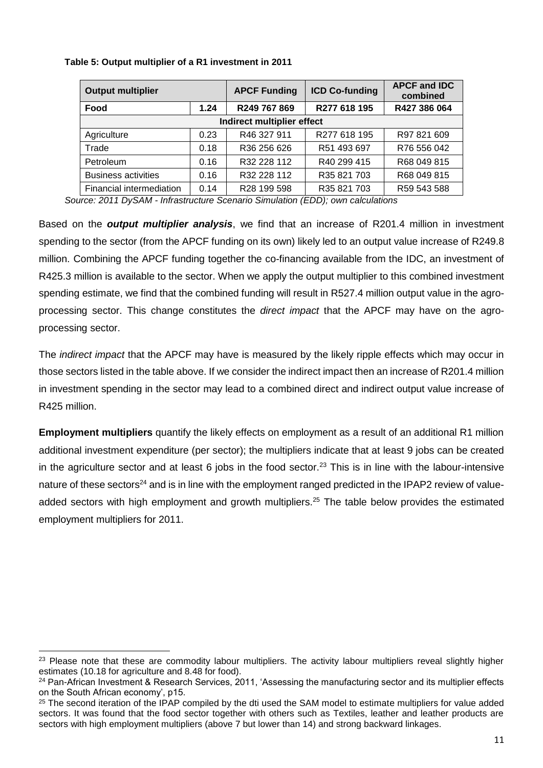| <b>Output multiplier</b>   |      | <b>APCF Funding</b>     | <b>ICD Co-funding</b> | <b>APCF and IDC</b><br>combined |  |
|----------------------------|------|-------------------------|-----------------------|---------------------------------|--|
| Food                       | 1.24 | R249 767 869            | R277 618 195          | R427 386 064                    |  |
| Indirect multiplier effect |      |                         |                       |                                 |  |
| Agriculture                | 0.23 | R46 327 911             | R277 618 195          | R97 821 609                     |  |
| Trade                      | 0.18 | R <sub>36</sub> 256 626 | R51 493 697           | R76 556 042                     |  |
| Petroleum                  | 0.16 | R32 228 112             | R40 299 415           | R68 049 815                     |  |
| <b>Business activities</b> | 0.16 | R32 228 112             | R35 821 703           | R68 049 815                     |  |
| Financial intermediation   | 0.14 | R28 199 598             | R35 821 703           | R59 543 588                     |  |

## **Table 5: Output multiplier of a R1 investment in 2011**

*Source: 2011 DySAM - Infrastructure Scenario Simulation (EDD); own calculations*

Based on the *output multiplier analysis*, we find that an increase of R201.4 million in investment spending to the sector (from the APCF funding on its own) likely led to an output value increase of R249.8 million. Combining the APCF funding together the co-financing available from the IDC, an investment of R425.3 million is available to the sector. When we apply the output multiplier to this combined investment spending estimate, we find that the combined funding will result in R527.4 million output value in the agroprocessing sector. This change constitutes the *direct impact* that the APCF may have on the agroprocessing sector.

The *indirect impact* that the APCF may have is measured by the likely ripple effects which may occur in those sectors listed in the table above. If we consider the indirect impact then an increase of R201.4 million in investment spending in the sector may lead to a combined direct and indirect output value increase of R425 million.

**Employment multipliers** quantify the likely effects on employment as a result of an additional R1 million additional investment expenditure (per sector); the multipliers indicate that at least 9 jobs can be created in the agriculture sector and at least 6 jobs in the food sector.<sup>23</sup> This is in line with the labour-intensive nature of these sectors<sup>24</sup> and is in line with the employment ranged predicted in the IPAP2 review of valueadded sectors with high employment and growth multipliers.<sup>25</sup> The table below provides the estimated employment multipliers for 2011.

 $\ddot{\phantom{a}}$ <sup>23</sup> Please note that these are commodity labour multipliers. The activity labour multipliers reveal slightly higher estimates (10.18 for agriculture and 8.48 for food).

<sup>&</sup>lt;sup>24</sup> Pan-African Investment & Research Services, 2011, 'Assessing the manufacturing sector and its multiplier effects on the South African economy', p15.

<sup>&</sup>lt;sup>25</sup> The second iteration of the IPAP compiled by the dti used the SAM model to estimate multipliers for value added sectors. It was found that the food sector together with others such as Textiles, leather and leather products are sectors with high employment multipliers (above 7 but lower than 14) and strong backward linkages.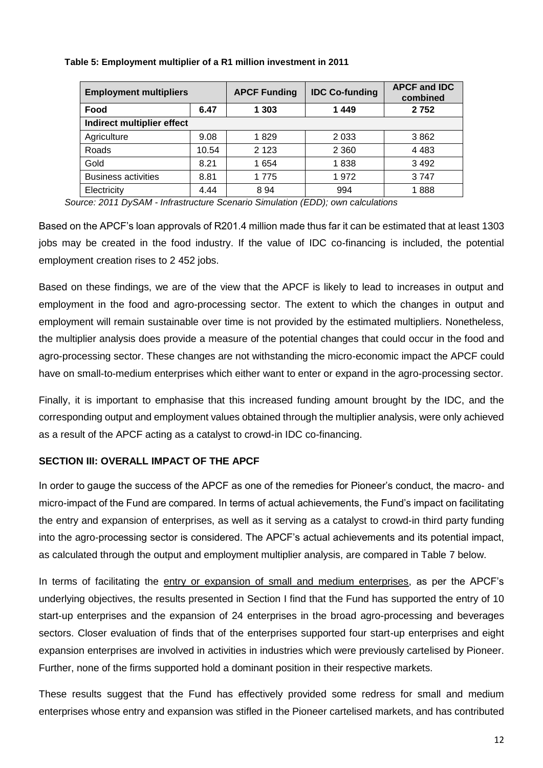| <b>Employment multipliers</b> |       | <b>APCF Funding</b> | <b>IDC Co-funding</b> | <b>APCF and IDC</b><br>combined |
|-------------------------------|-------|---------------------|-----------------------|---------------------------------|
| Food                          | 6.47  | 1 3 0 3             | 1449                  | 2752                            |
| Indirect multiplier effect    |       |                     |                       |                                 |
| Agriculture                   | 9.08  | 1829                | 2 0 3 3               | 3862                            |
| Roads                         | 10.54 | 2 1 2 3             | 2 3 6 0               | 4 4 8 3                         |
| Gold                          | 8.21  | 1 654               | 1838                  | 3 4 9 2                         |
| <b>Business activities</b>    | 8.81  | 1775                | 1972                  | 3747                            |
| Electricity                   | 4.44  | 894                 | 994                   | 1888                            |

#### **Table 5: Employment multiplier of a R1 million investment in 2011**

*Source: 2011 DySAM - Infrastructure Scenario Simulation (EDD); own calculations*

Based on the APCF's loan approvals of R201.4 million made thus far it can be estimated that at least 1303 jobs may be created in the food industry. If the value of IDC co-financing is included, the potential employment creation rises to 2 452 jobs.

Based on these findings, we are of the view that the APCF is likely to lead to increases in output and employment in the food and agro-processing sector. The extent to which the changes in output and employment will remain sustainable over time is not provided by the estimated multipliers. Nonetheless, the multiplier analysis does provide a measure of the potential changes that could occur in the food and agro-processing sector. These changes are not withstanding the micro-economic impact the APCF could have on small-to-medium enterprises which either want to enter or expand in the agro-processing sector.

Finally, it is important to emphasise that this increased funding amount brought by the IDC, and the corresponding output and employment values obtained through the multiplier analysis, were only achieved as a result of the APCF acting as a catalyst to crowd-in IDC co-financing.

#### **SECTION III: OVERALL IMPACT OF THE APCF**

In order to gauge the success of the APCF as one of the remedies for Pioneer's conduct, the macro- and micro-impact of the Fund are compared. In terms of actual achievements, the Fund's impact on facilitating the entry and expansion of enterprises, as well as it serving as a catalyst to crowd-in third party funding into the agro-processing sector is considered. The APCF's actual achievements and its potential impact, as calculated through the output and employment multiplier analysis, are compared in Table 7 below.

In terms of facilitating the entry or expansion of small and medium enterprises, as per the APCF's underlying objectives, the results presented in Section I find that the Fund has supported the entry of 10 start-up enterprises and the expansion of 24 enterprises in the broad agro-processing and beverages sectors. Closer evaluation of finds that of the enterprises supported four start-up enterprises and eight expansion enterprises are involved in activities in industries which were previously cartelised by Pioneer. Further, none of the firms supported hold a dominant position in their respective markets.

These results suggest that the Fund has effectively provided some redress for small and medium enterprises whose entry and expansion was stifled in the Pioneer cartelised markets, and has contributed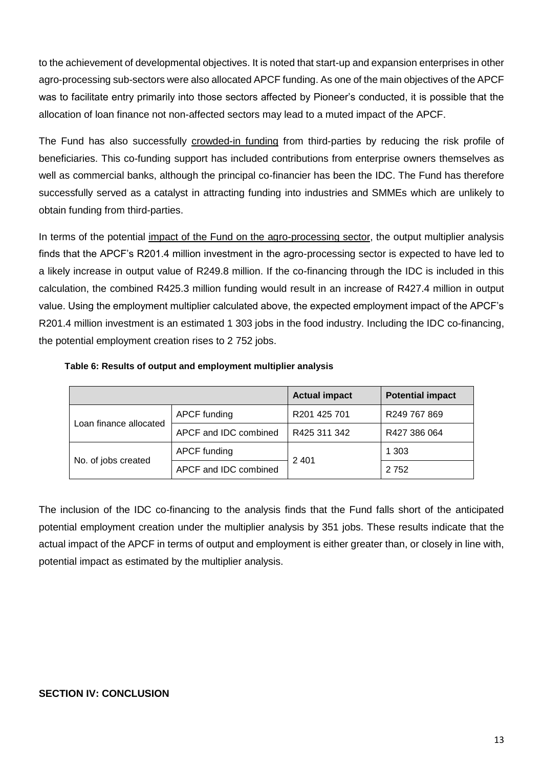to the achievement of developmental objectives. It is noted that start-up and expansion enterprises in other agro-processing sub-sectors were also allocated APCF funding. As one of the main objectives of the APCF was to facilitate entry primarily into those sectors affected by Pioneer's conducted, it is possible that the allocation of loan finance not non-affected sectors may lead to a muted impact of the APCF.

The Fund has also successfully crowded-in funding from third-parties by reducing the risk profile of beneficiaries. This co-funding support has included contributions from enterprise owners themselves as well as commercial banks, although the principal co-financier has been the IDC. The Fund has therefore successfully served as a catalyst in attracting funding into industries and SMMEs which are unlikely to obtain funding from third-parties.

In terms of the potential impact of the Fund on the agro-processing sector, the output multiplier analysis finds that the APCF's R201.4 million investment in the agro-processing sector is expected to have led to a likely increase in output value of R249.8 million. If the co-financing through the IDC is included in this calculation, the combined R425.3 million funding would result in an increase of R427.4 million in output value. Using the employment multiplier calculated above, the expected employment impact of the APCF's R201.4 million investment is an estimated 1 303 jobs in the food industry. Including the IDC co-financing, the potential employment creation rises to 2 752 jobs.

|                        |                       | <b>Actual impact</b> | <b>Potential impact</b> |  |
|------------------------|-----------------------|----------------------|-------------------------|--|
|                        | APCF funding          | R201 425 701         | R249 767 869            |  |
| Loan finance allocated | APCF and IDC combined | R425 311 342         | R427 386 064            |  |
|                        | APCF funding          | 2 4 0 1              | 1 3 0 3                 |  |
| No. of jobs created    | APCF and IDC combined |                      | 2752                    |  |

#### **Table 6: Results of output and employment multiplier analysis**

The inclusion of the IDC co-financing to the analysis finds that the Fund falls short of the anticipated potential employment creation under the multiplier analysis by 351 jobs. These results indicate that the actual impact of the APCF in terms of output and employment is either greater than, or closely in line with, potential impact as estimated by the multiplier analysis.

# **SECTION IV: CONCLUSION**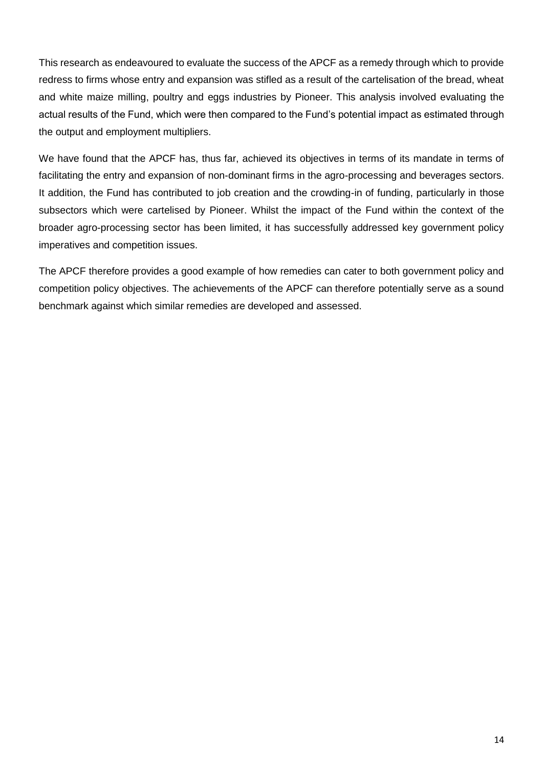This research as endeavoured to evaluate the success of the APCF as a remedy through which to provide redress to firms whose entry and expansion was stifled as a result of the cartelisation of the bread, wheat and white maize milling, poultry and eggs industries by Pioneer. This analysis involved evaluating the actual results of the Fund, which were then compared to the Fund's potential impact as estimated through the output and employment multipliers.

We have found that the APCF has, thus far, achieved its objectives in terms of its mandate in terms of facilitating the entry and expansion of non-dominant firms in the agro-processing and beverages sectors. It addition, the Fund has contributed to job creation and the crowding-in of funding, particularly in those subsectors which were cartelised by Pioneer. Whilst the impact of the Fund within the context of the broader agro-processing sector has been limited, it has successfully addressed key government policy imperatives and competition issues.

The APCF therefore provides a good example of how remedies can cater to both government policy and competition policy objectives. The achievements of the APCF can therefore potentially serve as a sound benchmark against which similar remedies are developed and assessed.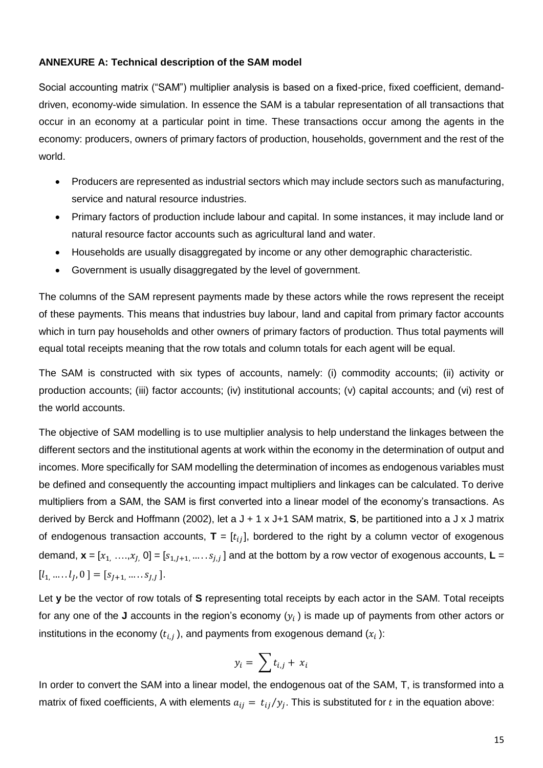#### **ANNEXURE A: Technical description of the SAM model**

Social accounting matrix ("SAM") multiplier analysis is based on a fixed-price, fixed coefficient, demanddriven, economy-wide simulation. In essence the SAM is a tabular representation of all transactions that occur in an economy at a particular point in time. These transactions occur among the agents in the economy: producers, owners of primary factors of production, households, government and the rest of the world.

- Producers are represented as industrial sectors which may include sectors such as manufacturing, service and natural resource industries.
- Primary factors of production include labour and capital. In some instances, it may include land or natural resource factor accounts such as agricultural land and water.
- Households are usually disaggregated by income or any other demographic characteristic.
- Government is usually disaggregated by the level of government.

The columns of the SAM represent payments made by these actors while the rows represent the receipt of these payments. This means that industries buy labour, land and capital from primary factor accounts which in turn pay households and other owners of primary factors of production. Thus total payments will equal total receipts meaning that the row totals and column totals for each agent will be equal.

The SAM is constructed with six types of accounts, namely: (i) commodity accounts; (ii) activity or production accounts; (iii) factor accounts; (iv) institutional accounts; (v) capital accounts; and (vi) rest of the world accounts.

The objective of SAM modelling is to use multiplier analysis to help understand the linkages between the different sectors and the institutional agents at work within the economy in the determination of output and incomes. More specifically for SAM modelling the determination of incomes as endogenous variables must be defined and consequently the accounting impact multipliers and linkages can be calculated. To derive multipliers from a SAM, the SAM is first converted into a linear model of the economy's transactions. As derived by Berck and Hoffmann (2002), let a J + 1 x J+1 SAM matrix, **S**, be partitioned into a J x J matrix of endogenous transaction accounts,  $\mathbf{T} = [t_{ij}]$ , bordered to the right by a column vector of exogenous demand,  $\mathbf{x} = [x_1, \ldots, x_J, 0] = [s_{1,J+1}, \ldots, s_{J,J}]$  and at the bottom by a row vector of exogenous accounts,  $\mathbf{L} =$  $[l_1, \ldots, l_J, 0] = [s_{J+1}, \ldots, s_{J,J}].$ 

Let **y** be the vector of row totals of **S** representing total receipts by each actor in the SAM. Total receipts for any one of the **J** accounts in the region's economy  $(y_i)$  is made up of payments from other actors or institutions in the economy ( $t_{i,j}$  ), and payments from exogenous demand ( $x_i$  ):

$$
y_i = \sum t_{i,j} + x_i
$$

In order to convert the SAM into a linear model, the endogenous oat of the SAM, T, is transformed into a matrix of fixed coefficients, A with elements  $a_{ij} = t_{ij}/y_j$ . This is substituted for  $t$  in the equation above: